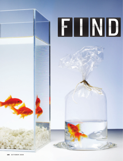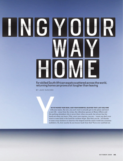# Y OUR HOME AY I N G

For skilled South African expats scattered across the world, returning home can prove a lot tougher than leaving

By jazz kuschke

**ou've packed your bags, said your goodbyes, enjoyed that last cold one**  with your mates. By now, you can't wait to actually get on the plane and start a new life – away from the crime, the ridiculous queues at Home Affairs and the parking attendant who is never there when you park, but always has his hand out when you leave. Pilot, start your engines, you say – 'cause you don't ever want to come back to the land the rainbow forgot. But then you do – all thanks to some crazy bankers in America who helped send the entire world into economic meltdown. So, how exactly do you bounce back from this? Turn over and find out.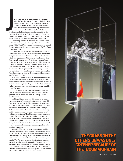**ohannes Van Dyk never planned TO return** when he boarded an Air Singapore flight for New Zealand in February 2006. Once over there, he thrived on South Africa's bad publicity because "it justified my decision to take my children away from their family and friends. I wanted to see

South Africa fail in all aspects so I could rub it in the noses of those who crucified me for leaving." The grass wilted pretty quickly for Van Dyk, though. And, in his case, the crazy bankers were only partly to blame. J

"It was only greener on the other side because of the 1 800mm of rain," muses Van Dyk about the Land of the Long White Cloud. The younger of his two sons developed life-threatening asthma as a result, forcing the Van Dyks to uproot once again.

In July 2007 they moved across the Tasman Sea to Perth, the "little South Africa" in Australia. They found the people much friendlier than in New Zealand, especially the expat South Africans. (In New Zealand they had verbally abused his wife for being a stay-at-home mom, a choice that had never posed a problem in South Africa.) It still took them six months to settle into the new country's system. "Connecting telephone lines, setting up broadband, getting to know your way around town, finding out where the shops are and learning how brands compare to those in South Africa didn't happen easily," says Van Dyk.

After four months working as a sales representative for a fertiliser company in Australia, he was promoted to state manager of West and South Australia, meaning that he had six reps reporting to him. "In Australia they valued my experience and skills more than my qualifications," he says.

But the combination of an unscrupulous employer who jeopardised his work visa, and the credit crunch, put him out on the street – and on his way back to South Africa.

Making a big move for the third time in as many years was tough, but returning to a country some felt he'd forsaken made it doubly traumatic. "It was more difficult to settle back in South Africa than it had been in either New Zealand or Australia," says Van Dyk. "The crime is worse than when we left, the electricity grid is under immense pressure and there's a lot of political uncertainty." But his biggest concern was finding employment. "We returned without me having secured a job." He eventually found work with a local fertiliser company. "I had to step back to a lower position," he says. His circumstances have since improved – he recently landed a new, more senior position with another company.

*Men's Health's* resident psychologist Rafiq Lockhat believes that a change in thinking helped the Van Dyks cope. It's now just over a year since their return and Van Dyk has a job he's happy in, his children have settled at school and he and his wife's social calendar is filling up again. They've come to realise that South Africa's not actually a bad place to be after all. "There's a spirit of optimism now, where there was doubt a few months ago," Van Dyk says. "We had an excellent Super 14, hosted an extremely successful IPL 20 Twenty and Confederations Cup and the 2010 Soccer World Cup lies ahead."

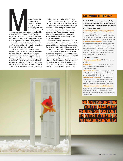

**artine Schaffer** has heard every expat story there is to be told. As managing director of the online portal

www.homecomingrevolution.co.za, her life revolves around helping South African expats adjust to coming home. She's been asked to deal with everything from getting a 34-foot yacht into South Africa, to helping someone scared their beloved labrador won't be allowed into the country after testing positive for a strange disease.

"We've seen a definite increase in the number of people coming home or planning to," says Schaffer. And while it's easy to assume this revolution is happening only because of the international financial situation, Schaffer is convinced it's a combination of things causing the "brain gain", the term for the flow of skilled people back into South Africa. "It's a considered decision, not just a

**ARTINE SCHAFFER**<br> **ARTINE SCHAFFER**<br>
THE PORT THE PRESS, THE SEARCH THE SEARCH THE SEARCH THE SEARCH THE SEARCH THE SEARCH THE SEARCH THE SEARCH THE SEARCH THE SAME SAY AND THE SEARCH THE SEARCH THE SEARCH THE SAME SAY AN "Helped, I think, by all the recent positive developments – peaceful elections, successful sporting events and prudent financial controls." Homecoming Revolution has conducted research over the past three years and has found the main reasons why people come back are always the same: family and friends, lifestyle and sense of belonging.

> Not so for Van Dyk, however. And this explains why he initially struggled with the change. This, and his lack of job security. Organising employment before you return is crucial, advises Schaffer. "You want to know that you'll be financially secure and that there is career growth in the company you choose," she says. "But it's a bit of a catch-22 situation as most potential employers want a face-to-face interview." She suggests coming back to check out the situation before making a final decision. "Be patient and start planning stuff before you return."



## **got What iT takes?**

*Men's Health's* **resident psychologist Rafiq Lockhat divides the possible psychological hurdles related to coming back into two categories**

#### **1. External Factors**

#### > **Animosity from those who stayed behind**

Particularly your fellow workers who feel that you ran away. They don't care why you left, you were the rat who jumped what you thought was a sinking ship and now you've gone and jumped another ship. > **The boss's expectations** There's often a mismatch between what the boss expects and what you can produce. He thinks because you've worked overseas you've been to the "promised land" and expects you to produce accordingly. The reality is that it's not that different working here. Normally it's tougher, in fact.

#### **2. Internal Factors**

> **Your own expectations** What am I capable of doing?

> **Work rate** We have a much bigger and better work ethic here (also the reason why we're in demand over there).

> **Lower salaries** Here, on average, you won't make what you did there and might also have to start at a slightly lower job level.

> **Efficiency of systems** We still have certain glitches in our admin systems (most notably passports and driver's licences) that you just don't find in developed (First World) countries. > **Lifestyle expectations and adjustments**

Undeniably, crime is a problem and we have a poor public transport system. Access to the latest fashion, international bands and new movies can be limited.